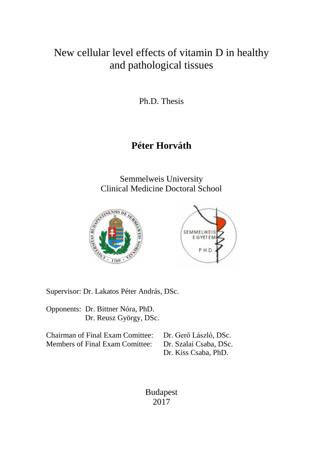# New cellular level effects of vitamin D in healthy and pathological tissues

Ph.D. Thesis

# **Péter Horváth**

Semmelweis University Clinical Medicine Doctoral School



Supervisor: Dr. Lakatos Péter András, DSc.

Opponents: Dr. Bittner Nóra, PhD. Dr. Reusz György, DSc.

| Chairman of Final Exam Comittee: Dr. Gerő László, DSc. |                        |
|--------------------------------------------------------|------------------------|
| Members of Final Exam Comittee:                        | Dr. Szalai Csaba, DSc. |
|                                                        | Dr. Kiss Csaba, PhD.   |

Budapest 2017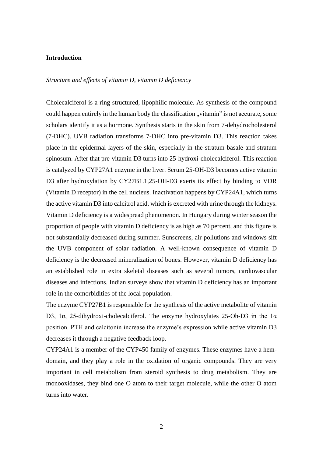## **Introduction**

# *Structure and effects of vitamin D, vitamin D deficiency*

Cholecalciferol is a ring structured, lipophilic molecule. As synthesis of the compound could happen entirely in the human body the classification "vitamin" is not accurate, some scholars identify it as a hormone. Synthesis starts in the skin from 7-dehydrocholesterol (7-DHC). UVB radiation transforms 7-DHC into pre-vitamin D3. This reaction takes place in the epidermal layers of the skin, especially in the stratum basale and stratum spinosum. After that pre-vitamin D3 turns into 25-hydroxi-cholecalciferol. This reaction is catalyzed by CYP27A1 enzyme in the liver. Serum 25-OH-D3 becomes active vitamin D3 after hydroxylation by CY27B1.1,25-OH-D3 exerts its effect by binding to VDR (Vitamin D receptor) in the cell nucleus. Inactivation happens by CYP24A1, which turns the active vitamin D3 into calcitrol acid, which is excreted with urine through the kidneys. Vitamin D deficiency is a widespread phenomenon. In Hungary during winter season the proportion of people with vitamin D deficiency is as high as 70 percent, and this figure is not substantially decreased during summer. Sunscreens, air pollutions and windows sift the UVB component of solar radiation. A well-known consequence of vitamin D deficiency is the decreased mineralization of bones. However, vitamin D deficiency has an established role in extra skeletal diseases such as several tumors, cardiovascular diseases and infections. Indian surveys show that vitamin D deficiency has an important role in the comorbidities of the local population.

The enzyme CYP27B1 is responsible for the synthesis of the active metabolite of vitamin D3, 1α, 25-dihydroxi-cholecalciferol. The enzyme hydroxylates 25-Oh-D3 in the 1α position. PTH and calcitonin increase the enzyme's expression while active vitamin D3 decreases it through a negative feedback loop.

CYP24A1 is a member of the CYP450 family of enzymes. These enzymes have a hemdomain, and they play a role in the oxidation of organic compounds. They are very important in cell metabolism from steroid synthesis to drug metabolism. They are monooxidases, they bind one O atom to their target molecule, while the other O atom turns into water.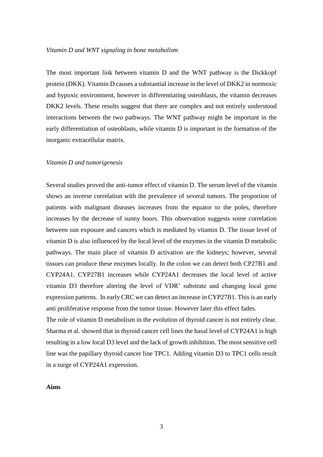#### *Vitamin D and WNT signaling in bone metabolism*

The most important link between vitamin D and the WNT pathway is the Dickkopf protein (DKK). Vitamin D causes a substantial increase in the level of DKK2 in normoxic and hypoxic environment, however in differentiating osteoblasts, the vitamin decreases DKK2 levels. These results suggest that there are complex and not entirely understood interactions between the two pathways. The WNT pathway might be important in the early differentiation of osteoblasts, while vitamin D is important in the formation of the inorganic extracellular matrix.

#### *Vitamin D and tumorigenesis*

Several studies proved the anti-tumor effect of vitamin D. The serum level of the vitamin shows an inverse correlation with the prevalence of several tumors. The proportion of patients with malignant diseases increases from the equator to the poles, therefore increases by the decrease of sunny hours. This observation suggests some correlation between sun exposure and cancers which is mediated by vitamin D. The tissue level of vitamin D is also influenced by the local level of the enzymes in the vitamin D metabolic pathways. The main place of vitamin D activation are the kidneys; however, several tissues can produce these enzymes locally. In the colon we can detect both CP27B1 and CYP24A1. CYP27B1 increases while CYP24A1 decreases the local level of active vitamin D3 therefore altering the level of VDR' substrate and changing local gene expression patterns. In early CRC we can detect an increase in CYP27B1. This is an early anti proliferative response from the tumor tissue. However later this effect fades.

The role of vitamin D metabolism in the evolution of thyroid cancer is not entirely clear. Sharma et al. showed that in thyroid cancer cell lines the basal level of CYP24A1 is high resulting in a low local D3 level and the lack of growth inhibition. The most sensitive cell line was the papillary thyroid cancer line TPC1. Adding vitamin D3 to TPC1 cells result in a surge of CYP24A1 expression.

**Aims**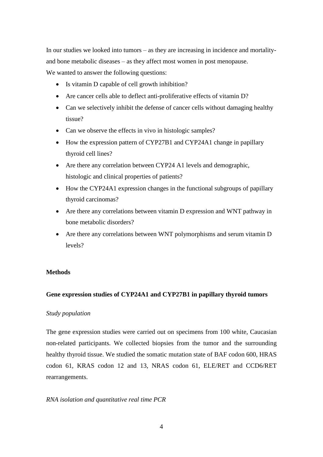In our studies we looked into tumors – as they are increasing in incidence and mortalityand bone metabolic diseases – as they affect most women in post menopause.

We wanted to answer the following questions:

- Is vitamin D capable of cell growth inhibition?
- Are cancer cells able to deflect anti-proliferative effects of vitamin D?
- Can we selectively inhibit the defense of cancer cells without damaging healthy tissue?
- Can we observe the effects in vivo in histologic samples?
- How the expression pattern of CYP27B1 and CYP24A1 change in papillary thyroid cell lines?
- Are there any correlation between CYP24 A1 levels and demographic, histologic and clinical properties of patients?
- How the CYP24A1 expression changes in the functional subgroups of papillary thyroid carcinomas?
- Are there any correlations between vitamin D expression and WNT pathway in bone metabolic disorders?
- Are there any correlations between WNT polymorphisms and serum vitamin D levels?

# **Methods**

# **Gene expression studies of CYP24A1 and CYP27B1 in papillary thyroid tumors**

# *Study population*

The gene expression studies were carried out on specimens from 100 white, Caucasian non-related participants. We collected biopsies from the tumor and the surrounding healthy thyroid tissue. We studied the somatic mutation state of BAF codon 600, HRAS codon 61, KRAS codon 12 and 13, NRAS codon 61, ELE/RET and CCD6/RET rearrangements.

# *RNA isolation and quantitative real time PCR*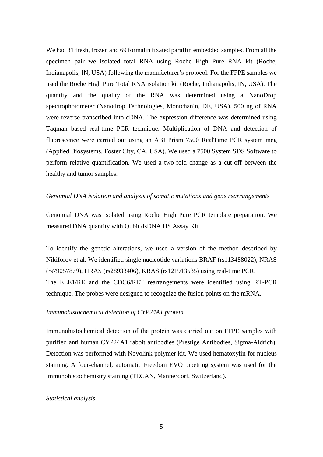We had 31 fresh, frozen and 69 formalin fixated paraffin embedded samples. From all the specimen pair we isolated total RNA using Roche High Pure RNA kit (Roche, Indianapolis, IN, USA) following the manufacturer's protocol. For the FFPE samples we used the Roche High Pure Total RNA isolation kit (Roche, Indianapolis, IN, USA). The quantity and the quality of the RNA was determined using a NanoDrop spectrophotometer (Nanodrop Technologies, Montchanin, DE, USA). 500 ng of RNA were reverse transcribed into cDNA. The expression difference was determined using Taqman based real-time PCR technique. Multiplication of DNA and detection of fluorescence were carried out using an ABI Prism 7500 RealTime PCR system meg (Applied Biosystems, Foster City, CA, USA). We used a 7500 System SDS Software to perform relative quantification. We used a two-fold change as a cut-off between the healthy and tumor samples.

## *Genomial DNA isolation and analysis of somatic mutations and gene rearrangements*

Genomial DNA was isolated using Roche High Pure PCR template preparation. We measured DNA quantity with Qubit dsDNA HS Assay Kit.

To identify the genetic alterations, we used a version of the method described by Nikiforov et al. We identified single nucleotide variations BRAF (rs113488022), NRAS (rs79057879), HRAS (rs28933406), KRAS (rs121913535) using real-time PCR. The ELE1/RE and the CDC6/RET rearrangements were identified using RT-PCR technique. The probes were designed to recognize the fusion points on the mRNA.

## *Immunohistochemical detection of CYP24A1 protein*

Immunohistochemical detection of the protein was carried out on FFPE samples with purified anti human CYP24A1 rabbit antibodies (Prestige Antibodies, Sigma-Aldrich). Detection was performed with Novolink polymer kit. We used hematoxylin for nucleus staining. A four-channel, automatic Freedom EVO pipetting system was used for the immunohistochemistry staining (TECAN, Mannerdorf, Switzerland).

# *Statistical analysis*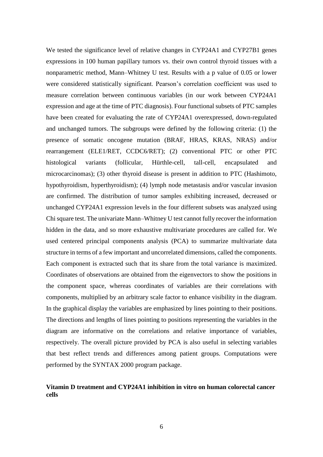We tested the significance level of relative changes in CYP24A1 and CYP27B1 genes expressions in 100 human papillary tumors vs. their own control thyroid tissues with a nonparametric method, Mann–Whitney U test. Results with a p value of 0.05 or lower were considered statistically significant. Pearson's correlation coefficient was used to measure correlation between continuous variables (in our work between CYP24A1 expression and age at the time of PTC diagnosis). Four functional subsets of PTC samples have been created for evaluating the rate of CYP24A1 overexpressed, down-regulated and unchanged tumors. The subgroups were defined by the following criteria: (1) the presence of somatic oncogene mutation (BRAF, HRAS, KRAS, NRAS) and/or rearrangement (ELE1/RET, CCDC6/RET); (2) conventional PTC or other PTC histological variants (follicular, Hürthle-cell, tall-cell, encapsulated and microcarcinomas); (3) other thyroid disease is present in addition to PTC (Hashimoto, hypothyroidism, hyperthyroidism); (4) lymph node metastasis and/or vascular invasion are confirmed. The distribution of tumor samples exhibiting increased, decreased or unchanged CYP24A1 expression levels in the four different subsets was analyzed using Chisquare test. The univariate Mann–Whitney U test cannot fully recover the information hidden in the data, and so more exhaustive multivariate procedures are called for. We used centered principal components analysis (PCA) to summarize multivariate data structure in terms of a few important and uncorrelated dimensions, called the components. Each component is extracted such that its share from the total variance is maximized. Coordinates of observations are obtained from the eigenvectors to show the positions in the component space, whereas coordinates of variables are their correlations with components, multiplied by an arbitrary scale factor to enhance visibility in the diagram. In the graphical display the variables are emphasized by lines pointing to their positions. The directions and lengths of lines pointing to positions representing the variables in the diagram are informative on the correlations and relative importance of variables, respectively. The overall picture provided by PCA is also useful in selecting variables that best reflect trends and differences among patient groups. Computations were performed by the SYNTAX 2000 program package.

# **Vitamin D treatment and CYP24A1 inhibition in vitro on human colorectal cancer cells**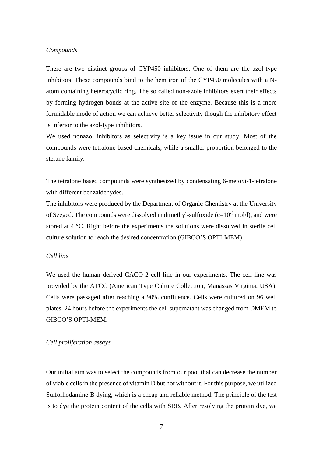## *Compounds*

There are two distinct groups of CYP450 inhibitors. One of them are the azol-type inhibitors. These compounds bind to the hem iron of the CYP450 molecules with a Natom containing heterocyclic ring. The so called non-azole inhibitors exert their effects by forming hydrogen bonds at the active site of the enzyme. Because this is a more formidable mode of action we can achieve better selectivity though the inhibitory effect is inferior to the azol-type inhibitors.

We used nonazol inhibitors as selectivity is a key issue in our study. Most of the compounds were tetralone based chemicals, while a smaller proportion belonged to the sterane family.

The tetralone based compounds were synthesized by condensating 6-metoxi-1-tetralone with different benzaldehydes.

The inhibitors were produced by the Department of Organic Chemistry at the University of Szeged. The compounds were dissolved in dimethyl-sulfoxide  $(c=10^{-3} \text{ mol/l})$ , and were stored at 4 °C. Right before the experiments the solutions were dissolved in sterile cell culture solution to reach the desired concentration (GIBCO'S OPTI-MEM).

## *Cell line*

We used the human derived CACO-2 cell line in our experiments. The cell line was provided by the ATCC (American Type Culture Collection, Manassas Virginia, USA). Cells were passaged after reaching a 90% confluence. Cells were cultured on 96 well plates. 24 hours before the experiments the cell supernatant was changed from DMEM to GIBCO'S OPTI-MEM.

## *Cell proliferation assays*

Our initial aim was to select the compounds from our pool that can decrease the number of viable cells in the presence of vitamin D but not without it. For this purpose, we utilized Sulforhodamine-B dying, which is a cheap and reliable method. The principle of the test is to dye the protein content of the cells with SRB. After resolving the protein dye, we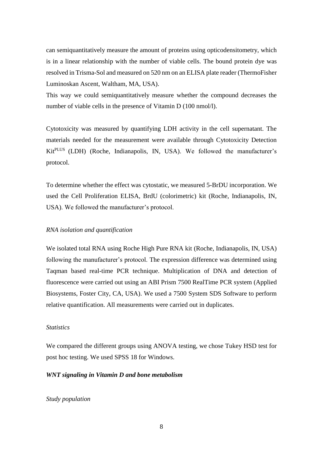can semiquantitatively measure the amount of proteins using opticodensitometry, which is in a linear relationship with the number of viable cells. The bound protein dye was resolved in Trisma-Sol and measured on 520 nm on an ELISA plate reader (ThermoFisher Luminoskan Ascent, Waltham, MA, USA).

This way we could semiquantitatively measure whether the compound decreases the number of viable cells in the presence of Vitamin D (100 nmol/l).

Cytotoxicity was measured by quantifying LDH activity in the cell supernatant. The materials needed for the measurement were available through Cytotoxicity Detection KitPLUS (LDH) (Roche, Indianapolis, IN, USA). We followed the manufacturer's protocol.

To determine whether the effect was cytostatic, we measured 5-BrDU incorporation. We used the Cell Proliferation ELISA, BrdU (colorimetric) kit (Roche, Indianapolis, IN, USA). We followed the manufacturer's protocol.

# *RNA isolation and quantification*

We isolated total RNA using Roche High Pure RNA kit (Roche, Indianapolis, IN, USA) following the manufacturer's protocol. The expression difference was determined using Taqman based real-time PCR technique. Multiplication of DNA and detection of fluorescence were carried out using an ABI Prism 7500 RealTime PCR system (Applied Biosystems, Foster City, CA, USA). We used a 7500 System SDS Software to perform relative quantification. All measurements were carried out in duplicates.

#### *Statistics*

We compared the different groups using ANOVA testing, we chose Tukey HSD test for post hoc testing. We used SPSS 18 for Windows.

## *WNT signaling in Vitamin D and bone metabolism*

*Study population*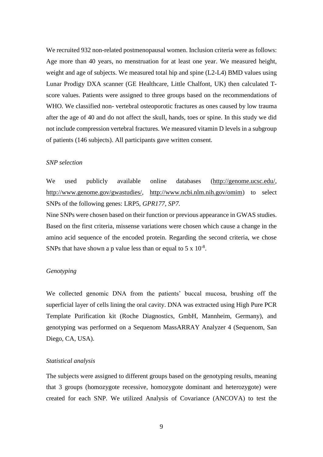We recruited 932 non-related postmenopausal women. Inclusion criteria were as follows: Age more than 40 years, no menstruation for at least one year. We measured height, weight and age of subjects. We measured total hip and spine (L2-L4) BMD values using Lunar Prodigy DXA scanner (GE Healthcare, Little Chalfont, UK) then calculated Tscore values. Patients were assigned to three groups based on the recommendations of WHO. We classified non- vertebral osteoporotic fractures as ones caused by low trauma after the age of 40 and do not affect the skull, hands, toes or spine. In this study we did not include compression vertebral fractures. We measured vitamin D levels in a subgroup of patients (146 subjects). All participants gave written consent.

## *SNP selection*

We used publicly available online databases [\(http://genome.ucsc.edu/,](http://genome.ucsc.edu/) [http://www.genome.gov/gwastudies/,](http://www.genome.gov/gwastudies/) [http://www.ncbi.nlm.nih.gov/omim\)](http://www.ncbi.nlm.nih.gov/omim) to select SNPs of the following genes: LRP5, *GPR177, SP7.* 

Nine SNPs were chosen based on their function or previous appearance in GWAS studies. Based on the first criteria, missense variations were chosen which cause a change in the amino acid sequence of the encoded protein. Regarding the second criteria, we chose SNPs that have shown a p value less than or equal to  $5 \times 10^{-8}$ .

## *Genotyping*

We collected genomic DNA from the patients' buccal mucosa, brushing off the superficial layer of cells lining the oral cavity. DNA was extracted using High Pure PCR Template Purification kit (Roche Diagnostics, GmbH, Mannheim, Germany), and genotyping was performed on a Sequenom MassARRAY Analyzer 4 (Sequenom, San Diego, CA, USA).

## *Statistical analysis*

The subjects were assigned to different groups based on the genotyping results, meaning that 3 groups (homozygote recessive, homozygote dominant and heterozygote) were created for each SNP. We utilized Analysis of Covariance (ANCOVA) to test the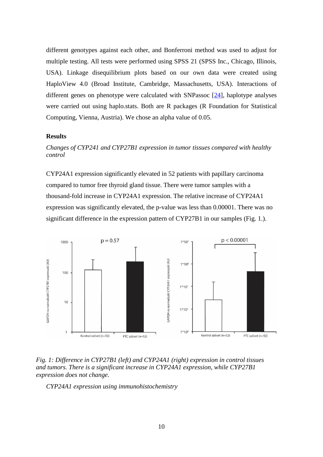different genotypes against each other, and Bonferroni method was used to adjust for multiple testing. All tests were performed using SPSS 21 (SPSS Inc., Chicago, Illinois, USA). Linkage disequilibrium plots based on our own data were created using HaploView 4.0 (Broad Institute, Cambridge, Massachusetts, USA). Interactions of different genes on phenotype were calculated with SNPassoc [24], haplotype analyses were carried out using haplo.stats. Both are R packages (R Foundation for Statistical Computing, Vienna, Austria). We chose an alpha value of 0.05.

# **Results**

# *Changes of CYP241 and CYP27B1 expression in tumor tissues compared with healthy control*

CYP24A1 expression significantly elevated in 52 patients with papillary carcinoma compared to tumor free thyroid gland tissue. There were tumor samples with a thousand-fold increase in CYP24A1 expression. The relative increase of CYP24A1 expression was significantly elevated, the p-value was less than 0.00001. There was no significant difference in the expression pattern of CYP27B1 in our samples (Fig. 1.).





*CYP24A1 expression using immunohistochemistry*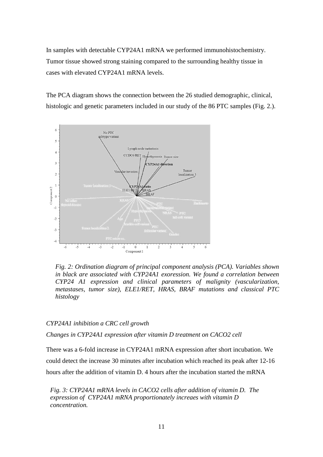In samples with detectable CYP24A1 mRNA we performed immunohistochemistry. Tumor tissue showed strong staining compared to the surrounding healthy tissue in cases with elevated CYP24A1 mRNA levels.

The PCA diagram shows the connection between the 26 studied demographic, clinical, histologic and genetic parameters included in our study of the 86 PTC samples (Fig. 2.).



*Fig. 2: Ordination diagram of principal component analysis (PCA). Variables shown in black are associated with CYP24A1 exoression. We found a correlation between CYP24 A1 expression and clinical parameters of malignity (vascularization, metastases, tumor size), ELE1/RET, HRAS, BRAF mutations and classical PTC histology*

#### *CYP24A1 inhibition a CRC cell growth*

*Changes in CYP24A1 expression after vitamin D treatment on CACO2 cell* 

There was a 6-fold increase in CYP24A1 mRNA expression after short incubation. We could detect the increase 30 minutes after incubation which reached its peak after 12-16 hours after the addition of vitamin D. 4 hours after the incubation started the mRNA

*Fig. 3: CYP24A1 mRNA levels in CACO2 cells after addition of vitamin D. The expression of CYP24A1 mRNA proportionately increaes with vitamin D concentration.*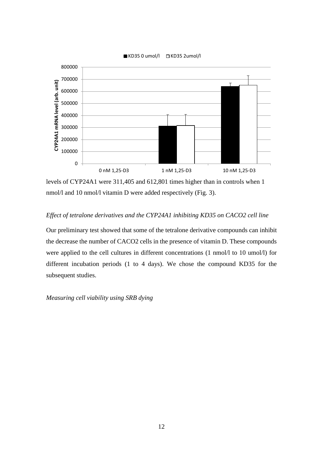

levels of CYP24A1 were 311,405 and 612,801 times higher than in controls when 1 nmol/l and 10 nmol/l vitamin D were added respectively (Fig. 3).

# *Effect of tetralone derivatives and the CYP24A1 inhibiting KD35 on CACO2 cell line*

Our preliminary test showed that some of the tetralone derivative compounds can inhibit the decrease the number of CACO2 cells in the presence of vitamin D. These compounds were applied to the cell cultures in different concentrations (1 nmol/l to 10 umol/l) for different incubation periods (1 to 4 days). We chose the compound KD35 for the subsequent studies.

*Measuring cell viability using SRB dying*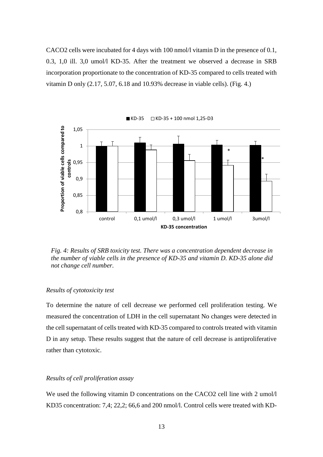CACO2 cells were incubated for 4 days with 100 nmol/l vitamin D in the presence of 0.1, 0.3, 1,0 ill. 3,0 umol/l KD-35. After the treatment we observed a decrease in SRB incorporation proportionate to the concentration of KD-35 compared to cells treated with vitamin D only  $(2.17, 5.07, 6.18$  and  $10.93\%$  decrease in viable cells). (Fig. 4.)



 $\blacksquare$  KD-35  $\Box$  KD-35 + 100 nmol 1,25-D3

*Fig. 4: Results of SRB toxicity test. There was a concentration dependent decrease in the number of viable cells in the presence of KD-35 and vitamin D. KD-35 alone did not change cell number.*

## *Results of cytotoxicity test*

To determine the nature of cell decrease we performed cell proliferation testing. We measured the concentration of LDH in the cell supernatant No changes were detected in the cell supernatant of cells treated with KD-35 compared to controls treated with vitamin D in any setup. These results suggest that the nature of cell decrease is antiproliferative rather than cytotoxic.

# *Results of cell proliferation assay*

We used the following vitamin D concentrations on the CACO2 cell line with 2 umol/l KD35 concentration: 7,4; 22,2; 66,6 and 200 nmol/l. Control cells were treated with KD-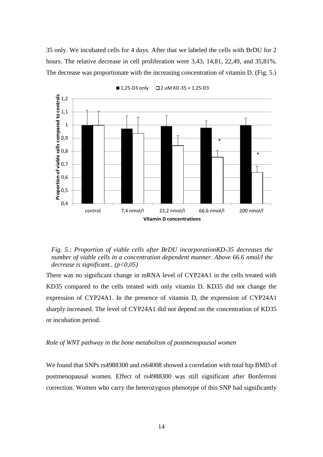35 only. We incubated cells for 4 days. After that we labeled the cells with BrDU for 2 hours. The relative decrease in cell proliferation were 3,43, 14,81, 22,49, and 35,81%. The decrease was proportionate with the increasing concentration of vitamin D. (Fig. 5.)



■ 1,25-D3 only  $\Box$  2 uM KD-35 + 1,25-D3

*Fig. 5.: Proportion of viable cells after BrDU incorporationKD-35 decreases the number of viable cells in a concentration dependent manner. Above 66.6 nmol/l the decrease is significant.. (p<0,05)*

There was no significant change in mRNA level of CYP24A1 in the cells treated with KD35 compared to the cells treated with only vitamin D. KD35 did not change the expression of CYP24A1. In the presence of vitamin D, the expression of CYP24A1 sharply increased. The level of CYP24A1 did not depend on the concentration of KD35 or incubation period.

#### *Role of WNT pathway in the bone metabolism of postmenopausal women*

We found that SNPs rs4988300 and rs64008 showed a correlation with total hip BMD of postmenopausal women. Effect of rs4988300 was still significant after Bonferroni correction. Women who carry the heterozygous phenotype of this SNP had significantly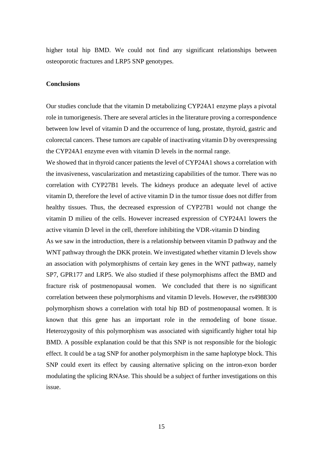higher total hip BMD. We could not find any significant relationships between osteoporotic fractures and LRP5 SNP genotypes.

#### **Conclusions**

Our studies conclude that the vitamin D metabolizing CYP24A1 enzyme plays a pivotal role in tumorigenesis. There are several articles in the literature proving a correspondence between low level of vitamin D and the occurrence of lung, prostate, thyroid, gastric and colorectal cancers. These tumors are capable of inactivating vitamin D by overexpressing the CYP24A1 enzyme even with vitamin D levels in the normal range.

We showed that in thyroid cancer patients the level of CYP24A1 shows a correlation with the invasiveness, vascularization and metastizing capabilities of the tumor. There was no correlation with CYP27B1 levels. The kidneys produce an adequate level of active vitamin D, therefore the level of active vitamin D in the tumor tissue does not differ from healthy tissues. Thus, the decreased expression of CYP27B1 would not change the vitamin D milieu of the cells. However increased expression of CYP24A1 lowers the active vitamin D level in the cell, therefore inhibiting the VDR-vitamin D binding

As we saw in the introduction, there is a relationship between vitamin D pathway and the WNT pathway through the DKK protein. We investigated whether vitamin D levels show an association with polymorphisms of certain key genes in the WNT pathway, namely SP7, GPR177 and LRP5. We also studied if these polymorphisms affect the BMD and fracture risk of postmenopausal women. We concluded that there is no significant correlation between these polymorphisms and vitamin D levels. However, the rs4988300 polymorphism shows a correlation with total hip BD of postmenopausal women. It is known that this gene has an important role in the remodeling of bone tissue. Heterozygosity of this polymorphism was associated with significantly higher total hip BMD. A possible explanation could be that this SNP is not responsible for the biologic effect. It could be a tag SNP for another polymorphism in the same haplotype block. This SNP could exert its effect by causing alternative splicing on the intron-exon border modulating the splicing RNAse. This should be a subject of further investigations on this issue.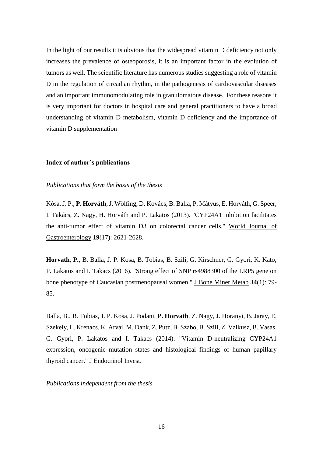In the light of our results it is obvious that the widespread vitamin D deficiency not only increases the prevalence of osteoporosis, it is an important factor in the evolution of tumors as well. The scientific literature has numerous studies suggesting a role of vitamin D in the regulation of circadian rhythm, in the pathogenesis of cardiovascular diseases and an important immunomodulating role in granulomatous disease. For these reasons it is very important for doctors in hospital care and general practitioners to have a broad understanding of vitamin D metabolism, vitamin D deficiency and the importance of vitamin D supplementation

## **Index of author's publications**

## *Publications that form the basis of the thesis*

Kósa, J. P., **P. Horváth**, J. Wölfing, D. Kovács, B. Balla, P. Mátyus, E. Horváth, G. Speer, I. Takács, Z. Nagy, H. Horváth and P. Lakatos (2013). "CYP24A1 inhibition facilitates the anti-tumor effect of vitamin D3 on colorectal cancer cells." World Journal of Gastroenterology **19**(17): 2621-2628.

**Horvath, P.**, B. Balla, J. P. Kosa, B. Tobias, B. Szili, G. Kirschner, G. Gyori, K. Kato, P. Lakatos and I. Takacs (2016). "Strong effect of SNP rs4988300 of the LRP5 gene on bone phenotype of Caucasian postmenopausal women." J Bone Miner Metab **34**(1): 79- 85.

Balla, B., B. Tobias, J. P. Kosa, J. Podani, **P. Horvath**, Z. Nagy, J. Horanyi, B. Jaray, E. Szekely, L. Krenacs, K. Arvai, M. Dank, Z. Putz, B. Szabo, B. Szili, Z. Valkusz, B. Vasas, G. Gyori, P. Lakatos and I. Takacs (2014). "Vitamin D-neutralizing CYP24A1 expression, oncogenic mutation states and histological findings of human papillary thyroid cancer." J Endocrinol Invest.

## *Publications independent from the thesis*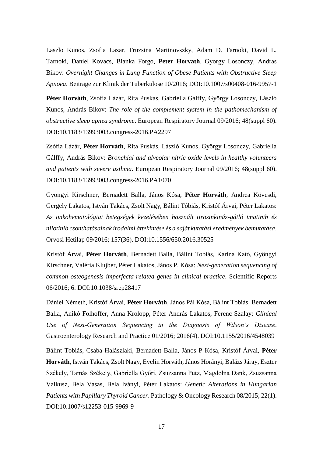Laszlo Kunos, Zsofia Lazar, Fruzsina Martinovszky, Adam D. Tarnoki, David L. Tarnoki, Daniel Kovacs, Bianka Forgo, **Peter Horvath**, Gyorgy Losonczy, Andras Bikov: *Overnight Changes in Lung Function of Obese Patients with Obstructive Sleep Apnoea*. Beiträge zur Klinik der Tuberkulose 10/2016; DOI:10.1007/s00408-016-9957-1

**Péter Horváth**, Zsófia Lázár, Rita Puskás, Gabriella Gálffy, György Losonczy, László Kunos, András Bikov: *The role of the complement system in the pathomechanism of obstructive sleep apnea syndrome*. European Respiratory Journal 09/2016; 48(suppl 60). DOI:10.1183/13993003.congress-2016.PA2297

Zsófia Lázár, **Péter Horváth**, Rita Puskás, László Kunos, György Losonczy, Gabriella Gálffy, András Bikov: *Bronchial and alveolar nitric oxide levels in healthy volunteers and patients with severe asthma*. European Respiratory Journal 09/2016; 48(suppl 60). DOI:10.1183/13993003.congress-2016.PA1070

Gyöngyi Kirschner, Bernadett Balla, János Kósa, **Péter Horváth**, Andrea Kövesdi, Gergely Lakatos, István Takács, Zsolt Nagy, Bálint Tóbiás, Kristóf Árvai, Péter Lakatos: *Az onkohematológiai betegségek kezelésében használt tirozinkináz-gátló imatinib és nilotinib csonthatásainak irodalmi áttekintése és a saját kutatási eredmények bemutatása*. Orvosi Hetilap 09/2016; 157(36). DOI:10.1556/650.2016.30525

Kristóf Árvai, **Péter Horváth**, Bernadett Balla, Bálint Tobiás, Karina Kató, Gyöngyi Kirschner, Valéria Klujber, Péter Lakatos, János P. Kósa: *Next-generation sequencing of common osteogenesis imperfecta-related genes in clinical practice*. Scientific Reports 06/2016; 6. DOI:10.1038/srep28417

Dániel Németh, Kristóf Árvai, **Péter Horváth**, János Pál Kósa, Bálint Tobiás, Bernadett Balla, Anikó Folhoffer, Anna Krolopp, Péter András Lakatos, Ferenc Szalay: *Clinical Use of Next-Generation Sequencing in the Diagnosis of Wilson's Disease*. Gastroenterology Research and Practice 01/2016; 2016(4). DOI:10.1155/2016/4548039

Bálint Tobiás, Csaba Halászlaki, Bernadett Balla, János P Kósa, Kristóf Árvai, **Péter Horváth**, István Takács, Zsolt Nagy, Evelin Horváth, János Horányi, Balázs Járay, Eszter Székely, Tamás Székely, Gabriella Győri, Zsuzsanna Putz, Magdolna Dank, Zsuzsanna Valkusz, Béla Vasas, Béla Iványi, Péter Lakatos: *Genetic Alterations in Hungarian Patients with Papillary Thyroid Cancer*. Pathology & Oncology Research 08/2015; 22(1). DOI:10.1007/s12253-015-9969-9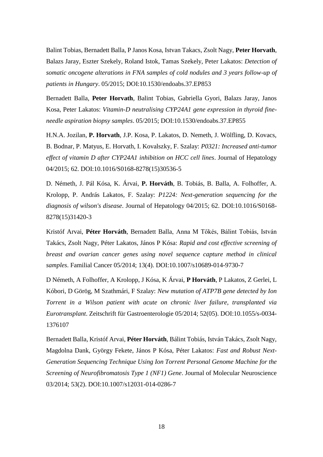Balint Tobias, Bernadett Balla, P Janos Kosa, Istvan Takacs, Zsolt Nagy, **Peter Horvath**, Balazs Jaray, Eszter Szekely, Roland Istok, Tamas Szekely, Peter Lakatos: *Detection of somatic oncogene alterations in FNA samples of cold nodules and 3 years follow-up of patients in Hungary*. 05/2015; DOI:10.1530/endoabs.37.EP853

Bernadett Balla, **Peter Horvath**, Balint Tobias, Gabriella Gyori, Balazs Jaray, Janos Kosa, Peter Lakatos: *Vitamin-D neutralising CYP24A1 gene expression in thyroid fineneedle aspiration biopsy samples*. 05/2015; DOI:10.1530/endoabs.37.EP855

H.N.A. Jozilan, **P. Horvath**, J.P. Kosa, P. Lakatos, D. Nemeth, J. Wölfling, D. Kovacs, B. Bodnar, P. Matyus, E. Horvath, I. Kovalszky, F. Szalay: *P0321: Increased anti-tumor effect of vitamin D after CYP24A1 inhibition on HCC cell lines*. Journal of Hepatology 04/2015; 62. DOI:10.1016/S0168-8278(15)30536-5

D. Németh, J. Pál Kósa, K. Árvai, **P. Horváth**, B. Tobiás, B. Balla, A. Folhoffer, A. Krolopp, P. András Lakatos, F. Szalay: *P1224: Next-generation sequencing for the diagnosis of wilson's disease*. Journal of Hepatology 04/2015; 62. DOI:10.1016/S0168- 8278(15)31420-3

Kristóf Arvai, **Péter Horváth**, Bernadett Balla, Anna M Tőkés, Bálint Tobiás, István Takács, Zsolt Nagy, Péter Lakatos, János P Kósa: *Rapid and cost effective screening of breast and ovarian cancer genes using novel sequence capture method in clinical samples*. Familial Cancer 05/2014; 13(4). DOI:10.1007/s10689-014-9730-7

D Németh, A Folhoffer, A Krolopp, J Kósa, K Árvai, **P Horváth**, P Lakatos, Z Gerlei, L Kóbori, D Görög, M Szathmári, F Szalay: *New mutation of ATP7B gene detected by Ion Torrent in a Wilson patient with acute on chronic liver failure, transplanted via Eurotransplant*. Zeitschrift für Gastroenterologie 05/2014; 52(05). DOI:10.1055/s-0034- 1376107

Bernadett Balla, Kristóf Arvai, **Péter Horváth**, Bálint Tobiás, István Takács, Zsolt Nagy, Magdolna Dank, György Fekete, János P Kósa, Péter Lakatos: *Fast and Robust Next-Generation Sequencing Technique Using Ion Torrent Personal Genome Machine for the Screening of Neurofibromatosis Type 1 (NF1) Gene*. Journal of Molecular Neuroscience 03/2014; 53(2). DOI:10.1007/s12031-014-0286-7